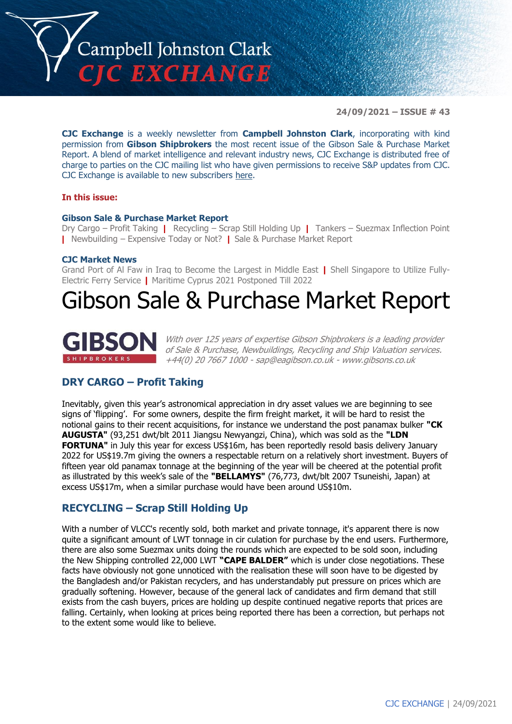

**24/09/2021 – ISSUE # 43**

**CJC Exchange** is a weekly newsletter from **Campbell Johnston Clark**, incorporating with kind permission from **Gibson Shipbrokers** the most recent issue of the Gibson Sale & Purchase Market Report. A blend of market intelligence and relevant industry news, CJC Exchange is distributed free of charge to parties on the CJC mailing list who have given permissions to receive S&P updates from CJC. CJC Exchange is available to new subscribers here.

### **In this issue:**

### **Gibson Sale & Purchase Market Report**

Dry Cargo – Profit Taking **|** Recycling – Scrap Still Holding Up **|** Tankers – Suezmax Inflection Point **|** Newbuilding – Expensive Today or Not? **|** Sale & Purchase Market Report

### **CJC Market News**

Grand Port of Al Faw in Iraq to Become the Largest in Middle East **|** Shell Singapore to Utilize Fully-Electric Ferry Service **|** Maritime Cyprus 2021 Postponed Till 2022

### Gibson Sale & Purchase Market Report



With over 125 years of expertise Gibson Shipbrokers is a leading provider of Sale & Purchase, Newbuildings, Recycling and Ship Valuation services. +44(0) 20 7667 1000 - sap@eagibson.co.uk - www.gibsons.co.uk

### **DRY CARGO – Profit Taking**

Inevitably, given this year's astronomical appreciation in dry asset values we are beginning to see signs of 'flipping'. For some owners, despite the firm freight market, it will be hard to resist the notional gains to their recent acquisitions, for instance we understand the post panamax bulker **"CK AUGUSTA"** (93,251 dwt/blt 2011 Jiangsu Newyangzi, China), which was sold as the **"LDN FORTUNA"** in July this year for excess US\$16m, has been reportedly resold basis delivery January 2022 for US\$19.7m giving the owners a respectable return on a relatively short investment. Buyers of fifteen year old panamax tonnage at the beginning of the year will be cheered at the potential profit as illustrated by this week's sale of the **"BELLAMYS"** (76,773, dwt/blt 2007 Tsuneishi, Japan) at excess US\$17m, when a similar purchase would have been around US\$10m.

### **RECYCLING – Scrap Still Holding Up**

With a number of VLCC's recently sold, both market and private tonnage, it's apparent there is now quite a significant amount of LWT tonnage in cir culation for purchase by the end users. Furthermore, there are also some Suezmax units doing the rounds which are expected to be sold soon, including the New Shipping controlled 22,000 LWT **"CAPE BALDER"** which is under close negotiations. These facts have obviously not gone unnoticed with the realisation these will soon have to be digested by the Bangladesh and/or Pakistan recyclers, and has understandably put pressure on prices which are gradually softening. However, because of the general lack of candidates and firm demand that still exists from the cash buyers, prices are holding up despite continued negative reports that prices are falling. Certainly, when looking at prices being reported there has been a correction, but perhaps not to the extent some would like to believe.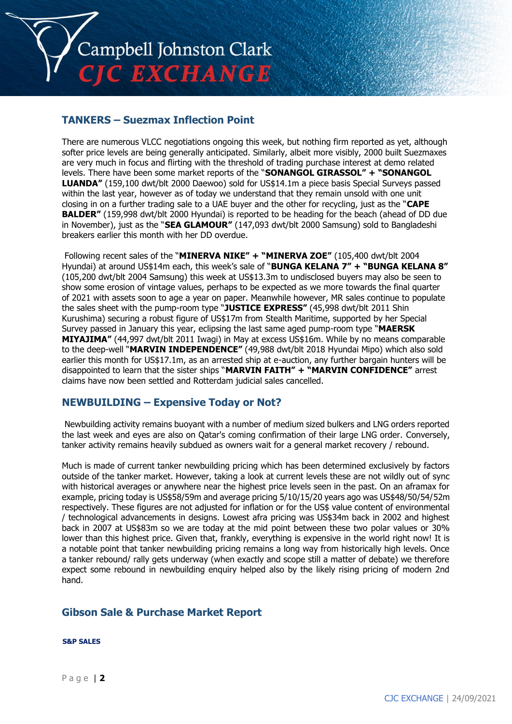

### **TANKERS – Suezmax Inflection Point**

There are numerous VLCC negotiations ongoing this week, but nothing firm reported as yet, although softer price levels are being generally anticipated. Similarly, albeit more visibly, 2000 built Suezmaxes are very much in focus and flirting with the threshold of trading purchase interest at demo related levels. There have been some market reports of the "**SONANGOL GIRASSOL" + "SONANGOL LUANDA"** (159,100 dwt/blt 2000 Daewoo) sold for US\$14.1m a piece basis Special Surveys passed within the last year, however as of today we understand that they remain unsold with one unit closing in on a further trading sale to a UAE buyer and the other for recycling, just as the "**CAPE BALDER"** (159,998 dwt/blt 2000 Hyundai) is reported to be heading for the beach (ahead of DD due in November), just as the "**SEA GLAMOUR"** (147,093 dwt/blt 2000 Samsung) sold to Bangladeshi breakers earlier this month with her DD overdue.

Following recent sales of the "**MINERVA NIKE" + "MINERVA ZOE"** (105,400 dwt/blt 2004 Hyundai) at around US\$14m each, this week's sale of "**BUNGA KELANA 7" + "BUNGA KELANA 8"** (105,200 dwt/blt 2004 Samsung) this week at US\$13.3m to undisclosed buyers may also be seen to show some erosion of vintage values, perhaps to be expected as we more towards the final quarter of 2021 with assets soon to age a year on paper. Meanwhile however, MR sales continue to populate the sales sheet with the pump-room type "**JUSTICE EXPRESS"** (45,998 dwt/blt 2011 Shin Kurushima) securing a robust figure of US\$17m from Stealth Maritime, supported by her Special Survey passed in January this year, eclipsing the last same aged pump-room type "**MAERSK MIYAJIMA"** (44,997 dwt/blt 2011 Iwagi) in May at excess US\$16m. While by no means comparable to the deep-well "**MARVIN INDEPENDENCE"** (49,988 dwt/blt 2018 Hyundai Mipo) which also sold earlier this month for US\$17.1m, as an arrested ship at e-auction, any further bargain hunters will be disappointed to learn that the sister ships "**MARVIN FAITH" + "MARVIN CONFIDENCE"** arrest claims have now been settled and Rotterdam judicial sales cancelled.

### **NEWBUILDING – Expensive Today or Not?**

Newbuilding activity remains buoyant with a number of medium sized bulkers and LNG orders reported the last week and eyes are also on Qatar's coming confirmation of their large LNG order. Conversely, tanker activity remains heavily subdued as owners wait for a general market recovery / rebound.

Much is made of current tanker newbuilding pricing which has been determined exclusively by factors outside of the tanker market. However, taking a look at current levels these are not wildly out of sync with historical averages or anywhere near the highest price levels seen in the past. On an aframax for example, pricing today is US\$58/59m and average pricing 5/10/15/20 years ago was US\$48/50/54/52m respectively. These figures are not adjusted for inflation or for the US\$ value content of environmental / technological advancements in designs. Lowest afra pricing was US\$34m back in 2002 and highest back in 2007 at US\$83m so we are today at the mid point between these two polar values or 30% lower than this highest price. Given that, frankly, everything is expensive in the world right now! It is a notable point that tanker newbuilding pricing remains a long way from historically high levels. Once a tanker rebound/ rally gets underway (when exactly and scope still a matter of debate) we therefore expect some rebound in newbuilding enquiry helped also by the likely rising pricing of modern 2nd hand.

### **Gibson Sale & Purchase Market Report**

### **S&P SALES**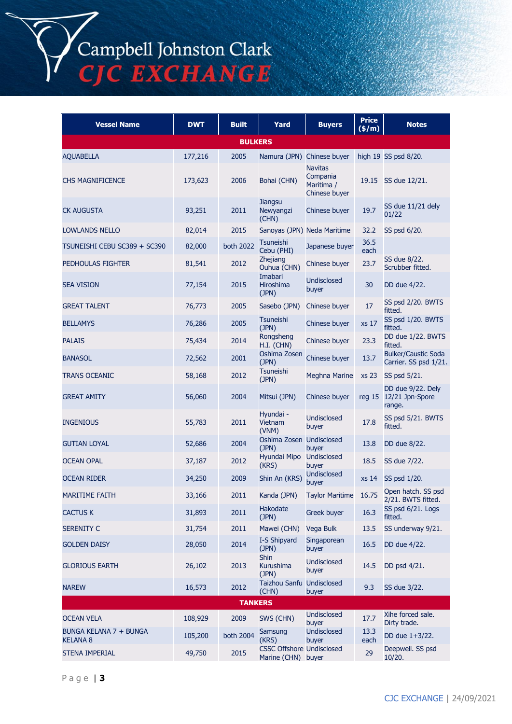# Campbell Johnston Clark<br>CJC EXCHANGE

| <b>Vessel Name</b>                        | <b>DWT</b> | <b>Built</b>   | Yard                                                   | <b>Buyers</b>                                             | <b>Price</b><br>(\$/m) | <b>Notes</b>                                          |  |  |
|-------------------------------------------|------------|----------------|--------------------------------------------------------|-----------------------------------------------------------|------------------------|-------------------------------------------------------|--|--|
| <b>BULKERS</b>                            |            |                |                                                        |                                                           |                        |                                                       |  |  |
| <b>AQUABELLA</b>                          | 177,216    | 2005           | Namura (JPN)                                           | Chinese buyer                                             |                        | high 19 SS psd 8/20.                                  |  |  |
| <b>CHS MAGNIFICENCE</b>                   | 173,623    | 2006           | Bohai (CHN)                                            | <b>Navitas</b><br>Compania<br>Maritima /<br>Chinese buyer | 19.15                  | SS due 12/21.                                         |  |  |
| <b>CK AUGUSTA</b>                         | 93,251     | 2011           | <b>Jiangsu</b><br>Newyangzi<br>(CHN)                   | Chinese buyer                                             | 19.7                   | SS due 11/21 dely<br>01/22                            |  |  |
| <b>LOWLANDS NELLO</b>                     | 82,014     | 2015           |                                                        | Sanoyas (JPN) Neda Maritime                               | 32.2                   | SS psd 6/20.                                          |  |  |
| TSUNEISHI CEBU SC389 + SC390              | 82,000     | both 2022      | Tsuneishi<br>Cebu (PHI)                                | Japanese buyer                                            | 36.5<br>each           |                                                       |  |  |
| <b>PEDHOULAS FIGHTER</b>                  | 81,541     | 2012           | Zhejiang<br>Ouhua (CHN)                                | Chinese buyer                                             | 23.7                   | SS due 8/22.<br>Scrubber fitted.                      |  |  |
| <b>SEA VISION</b>                         | 77,154     | 2015           | Imabari<br>Hiroshima<br>(JPN)                          | Undisclosed<br>buyer                                      | 30                     | DD due 4/22.                                          |  |  |
| <b>GREAT TALENT</b>                       | 76,773     | 2005           | Sasebo (JPN)                                           | Chinese buyer                                             | 17                     | SS psd 2/20. BWTS<br>fitted.                          |  |  |
| <b>BELLAMYS</b>                           | 76,286     | 2005           | Tsuneishi<br>(JPN)                                     | Chinese buyer                                             | xs 17                  | SS psd 1/20. BWTS<br>fitted.                          |  |  |
| <b>PALAIS</b>                             | 75,434     | 2014           | Rongsheng<br>H.I. (CHN)                                | Chinese buyer                                             | 23.3                   | DD due 1/22. BWTS<br>fitted.                          |  |  |
| <b>BANASOL</b>                            | 72,562     | 2001           | Oshima Zosen<br>(JPN)                                  | Chinese buyer                                             | 13.7                   | <b>Bulker/Caustic Soda</b><br>Carrier. SS psd 1/21.   |  |  |
| <b>TRANS OCEANIC</b>                      | 58,168     | 2012           | Tsuneishi<br>(JPN)                                     | <b>Meghna Marine</b>                                      | xs 23                  | SS psd 5/21.                                          |  |  |
| <b>GREAT AMITY</b>                        | 56,060     | 2004           | Mitsui (JPN)                                           | Chinese buyer                                             |                        | DD due 9/22. Dely<br>reg 15 12/21 Jpn-Spore<br>range. |  |  |
| <b>INGENIOUS</b>                          | 55,783     | 2011           | Hyundai -<br>Vietnam<br>(VNM)                          | Undisclosed<br>buyer                                      | 17.8                   | SS psd 5/21. BWTS<br>fitted.                          |  |  |
| <b>GUTIAN LOYAL</b>                       | 52,686     | 2004           | Oshima Zosen Undisclosed<br>(JPN)                      | buver                                                     | 13.8                   | DD due 8/22.                                          |  |  |
| <b>OCEAN OPAL</b>                         | 37,187     | 2012           | Hyundai Mipo<br>(KRS)                                  | Undisclosed<br>buyer                                      | 18.5                   | SS due 7/22.                                          |  |  |
| <b>OCEAN RIDER</b>                        | 34,250     | 2009           | Shin An (KRS)                                          | Undisclosed<br>buyer                                      | xs 14                  | SS psd 1/20.                                          |  |  |
| <b>MARITIME FAITH</b>                     | 33,166     | 2011           | Kanda (JPN)                                            | <b>Taylor Maritime</b>                                    | 16.75                  | Open hatch. SS psd<br>2/21. BWTS fitted.              |  |  |
| <b>CACTUS K</b>                           | 31,893     | 2011           | Hakodate<br>(JPN)                                      | <b>Greek buyer</b>                                        | 16.3                   | SS psd 6/21. Logs<br>fitted.                          |  |  |
| <b>SERENITY C</b>                         | 31,754     | 2011           | Mawei (CHN)                                            | Vega Bulk                                                 | 13.5                   | SS underway 9/21.                                     |  |  |
| <b>GOLDEN DAISY</b>                       | 28,050     | 2014           | I-S Shipyard<br>(JPN)                                  | Singaporean<br>buyer                                      | 16.5                   | DD due 4/22.                                          |  |  |
| <b>GLORIOUS EARTH</b>                     | 26,102     | 2013           | Shin<br>Kurushima<br>(JPN)                             | <b>Undisclosed</b><br>buyer                               | 14.5                   | DD psd 4/21.                                          |  |  |
| <b>NAREW</b>                              | 16,573     | 2012           | Taizhou Sanfu Undisclosed<br>(CHN)                     | buyer                                                     | 9.3                    | SS due 3/22.                                          |  |  |
|                                           |            | <b>TANKERS</b> |                                                        |                                                           |                        |                                                       |  |  |
| <b>OCEAN VELA</b>                         | 108,929    | 2009           | SWS (CHN)                                              | Undisclosed<br>buyer                                      | 17.7                   | Xihe forced sale.<br>Dirty trade.                     |  |  |
| BUNGA KELANA 7 + BUNGA<br><b>KELANA 8</b> | 105,200    | both 2004      | Samsung<br>(KRS)                                       | Undisclosed<br>buyer                                      | 13.3<br>each           | DD due 1+3/22.                                        |  |  |
| STENA IMPERIAL                            | 49,750     | 2015           | <b>CSSC Offshore Undisclosed</b><br>Marine (CHN) buyer |                                                           | 29                     | Deepwell. SS psd<br>10/20.                            |  |  |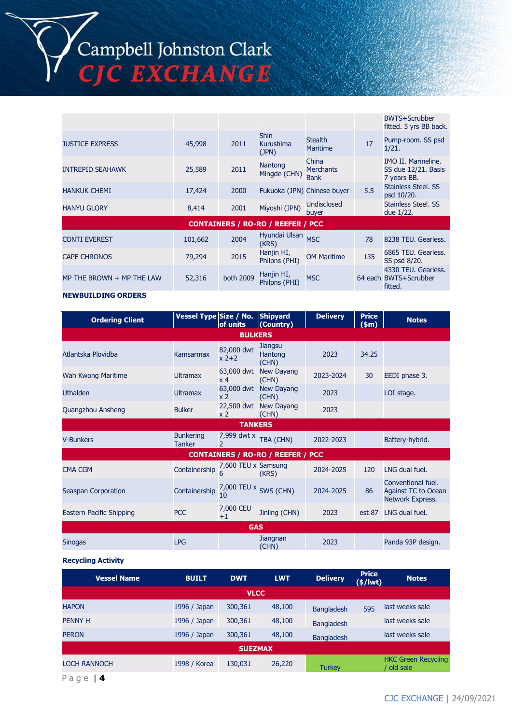# Campbell Johnston Clark<br>CJC EXCHANGE

|                           |         |           |                                          |                                          |     | BWTS+Scrubber<br>fitted. 5 yrs BB back.                          |
|---------------------------|---------|-----------|------------------------------------------|------------------------------------------|-----|------------------------------------------------------------------|
| <b>JUSTICE EXPRESS</b>    | 45,998  | 2011      | <b>Shin</b><br>Kurushima<br>(JPN)        | <b>Stealth</b><br><b>Maritime</b>        | 17  | Pump-room. SS psd<br>1/21.                                       |
| <b>INTREPID SEAHAWK</b>   | 25,589  | 2011      | Nantong<br>Mingde (CHN)                  | China<br><b>Merchants</b><br><b>Bank</b> |     | <b>IMO II. Marineline.</b><br>SS due 12/21. Basis<br>7 years BB. |
| <b>HANKUK CHEMI</b>       | 17,424  | 2000      | Fukuoka (JPN) Chinese buyer              |                                          | 5.5 | Stainless Steel, SS<br>psd 10/20.                                |
| <b>HANYU GLORY</b>        | 8,414   | 2001      | Miyoshi (JPN)                            | <b>Undisclosed</b><br>buver              |     | Stainless Steel, SS<br>due 1/22.                                 |
|                           |         |           | <b>CONTAINERS / RO-RO / REEFER / PCC</b> |                                          |     |                                                                  |
| <b>CONTI EVEREST</b>      | 101,662 | 2004      | Hyundai Ulsan MSC<br>(KRS)               |                                          | 78  | 8238 TEU, Gearless,                                              |
| <b>CAPE CHRONOS</b>       | 79,294  | 2015      | Hanjin HI,<br>Philpns (PHI)              | <b>OM Maritime</b>                       | 135 | 6865 TEU. Gearless.<br>SS psd 8/20.                              |
| MP THE BROWN + MP THE LAW | 52,316  | both 2009 | Hanjin HI,<br>Philpns (PHI)              | <b>MSC</b>                               |     | 4330 TEU. Gearless.<br>64 each BWTS+Scrubber<br>fitted.          |

### **NEWBUILDING ORDERS**

| <b>Ordering Client</b>   | Vessel Type Size / No.            | of units                     | <b>Shipyard</b><br>(Country)             | <b>Delivery</b> | <b>Price</b><br>(\$m) | <b>Notes</b>                                                         |
|--------------------------|-----------------------------------|------------------------------|------------------------------------------|-----------------|-----------------------|----------------------------------------------------------------------|
|                          |                                   | <b>BULKERS</b>               |                                          |                 |                       |                                                                      |
| Atlantska Plovidba       | Kamsarmax                         | 82,000 dwt<br>$x^2+2$        | <b>Jiangsu</b><br>Hantong<br>(CHN)       | 2023            | 34.25                 |                                                                      |
| Wah Kwong Maritime       | <b>Ultramax</b>                   | 63,000 dwt<br>x <sub>4</sub> | <b>New Dayang</b><br>(CHN)               | 2023-2024       | 30                    | EEDI phase 3.                                                        |
| <b>Uthalden</b>          | <b>Ultramax</b>                   | x <sub>2</sub>               | 63,000 dwt New Dayang<br>(CHN)           | 2023            |                       | LOI stage.                                                           |
| Quangzhou Ansheng        | <b>Bulker</b>                     | x 2                          | 22,500 dwt New Dayang<br>(CHN)           | 2023            |                       |                                                                      |
|                          |                                   | <b>TANKERS</b>               |                                          |                 |                       |                                                                      |
| <b>V-Bunkers</b>         | <b>Bunkering</b><br><b>Tanker</b> | 7,999 dwt x<br>$\mathcal{P}$ | TBA (CHN)                                | 2022-2023       |                       | Battery-hybrid.                                                      |
|                          |                                   |                              | <b>CONTAINERS / RO-RO / REEFER / PCC</b> |                 |                       |                                                                      |
| <b>CMA CGM</b>           | Containership                     | 7,600 TEU x Samsung<br>6     | (KRS)                                    | 2024-2025       | 120                   | LNG dual fuel.                                                       |
| Seaspan Corporation      | Containership                     | 7,000 TEU x<br>10            | SWS (CHN)                                | 2024-2025       | 86                    | Conventional fuel.<br><b>Against TC to Ocean</b><br>Network Express. |
| Eastern Pacific Shipping | <b>PCC</b>                        | 7,000 CEU<br>$+1$            | Jinling (CHN)                            | 2023            | est 87                | LNG dual fuel.                                                       |
|                          |                                   | <b>GAS</b>                   |                                          |                 |                       |                                                                      |
| <b>Sinogas</b>           | <b>LPG</b>                        |                              | Jiangnan<br>(CHN)                        | 2023            |                       | Panda 93P design.                                                    |

### **Recycling Activity**

| <b>Vessel Name</b>  | <b>BUILT</b> | <b>DWT</b>     | <b>LWT</b> | <b>Delivery</b>   | <b>Price</b><br>$(*)$ lwt) | <b>Notes</b>                           |
|---------------------|--------------|----------------|------------|-------------------|----------------------------|----------------------------------------|
|                     |              | <b>VLCC</b>    |            |                   |                            |                                        |
| <b>HAPON</b>        | 1996 / Japan | 300,361        | 48,100     | <b>Bangladesh</b> | 595                        | last weeks sale                        |
| <b>PENNY H</b>      | 1996 / Japan | 300,361        | 48,100     | <b>Bangladesh</b> |                            | last weeks sale                        |
| <b>PERON</b>        | 1996 / Japan | 300,361        | 48,100     | <b>Bangladesh</b> |                            | last weeks sale                        |
|                     |              | <b>SUEZMAX</b> |            |                   |                            |                                        |
| <b>LOCH RANNOCH</b> | 1998 / Korea | 130,031        | 26,220     | <b>Turkey</b>     |                            | <b>HKC Green Recycling</b><br>old sale |
|                     |              |                |            |                   |                            |                                        |

P a g e | **4**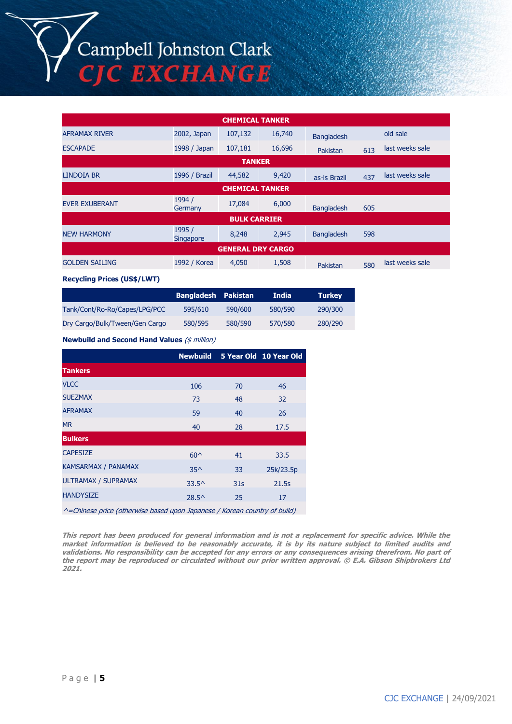## Campbell Johnston Clark<br>CJC EXCHANGE

| <b>CHEMICAL TANKER</b>   |                            |               |        |                   |     |                 |  |
|--------------------------|----------------------------|---------------|--------|-------------------|-----|-----------------|--|
| <b>AFRAMAX RIVER</b>     | 2002, Japan                | 107,132       | 16,740 | <b>Bangladesh</b> |     | old sale        |  |
| <b>ESCAPADE</b>          | 1998 / Japan               | 107,181       | 16,696 | Pakistan          | 613 | last weeks sale |  |
|                          |                            | <b>TANKER</b> |        |                   |     |                 |  |
| LINDOIA BR               | 1996 / Brazil              | 44,582        | 9,420  | as-is Brazil      | 437 | last weeks sale |  |
| <b>CHEMICAL TANKER</b>   |                            |               |        |                   |     |                 |  |
| <b>EVER EXUBERANT</b>    | 1994 /<br>Germany          | 17,084        | 6,000  | <b>Bangladesh</b> | 605 |                 |  |
| <b>BULK CARRIER</b>      |                            |               |        |                   |     |                 |  |
| <b>NEW HARMONY</b>       | 1995 /<br><b>Singapore</b> | 8,248         | 2,945  | <b>Bangladesh</b> | 598 |                 |  |
| <b>GENERAL DRY CARGO</b> |                            |               |        |                   |     |                 |  |
| <b>GOLDEN SAILING</b>    | 1992 / Korea               | 4,050         | 1,508  | Pakistan          | 580 | last weeks sale |  |

### **Recycling Prices (US\$/LWT)**

|                                | <b>Bangladesh Pakistan</b> |         | India   | <b>Turkey</b> |
|--------------------------------|----------------------------|---------|---------|---------------|
| Tank/Cont/Ro-Ro/Capes/LPG/PCC  | 595/610                    | 590/600 | 580/590 | 290/300       |
| Dry Cargo/Bulk/Tween/Gen Cargo | 580/595                    | 580/590 | 570/580 | 280/290       |

### **Newbuild and Second Hand Values** (\$ million)

|                            | <b>Newbuild</b> |                 | 5 Year Old 10 Year Old |
|----------------------------|-----------------|-----------------|------------------------|
| <b>Tankers</b>             |                 |                 |                        |
| <b>VLCC</b>                | 106             | 70              | 46                     |
| <b>SUEZMAX</b>             | 73              | 48              | 32                     |
| <b>AFRAMAX</b>             | 59              | 40              | 26                     |
| <b>MR</b>                  | 40              | 28              | 17.5                   |
| <b>Bulkers</b>             |                 |                 |                        |
| <b>CAPESIZE</b>            | $60^{\circ}$    | 41              | 33.5                   |
| <b>KAMSARMAX / PANAMAX</b> | $35^{\wedge}$   | 33              | 25k/23.5p              |
| <b>ULTRAMAX / SUPRAMAX</b> | $33.5^{\circ}$  | 31 <sub>S</sub> | 21.5s                  |
| <b>HANDYSIZE</b>           | $28.5^{\circ}$  | 25              | 17                     |

^=Chinese price (otherwise based upon Japanese / Korean country of build)

**This report has been produced for general information and is not a replacement for specific advice. While the market information is believed to be reasonably accurate, it is by its nature subject to limited audits and validations. No responsibility can be accepted for any errors or any consequences arising therefrom. No part of the report may be reproduced or circulated without our prior written approval. © E.A. Gibson Shipbrokers Ltd 2021.**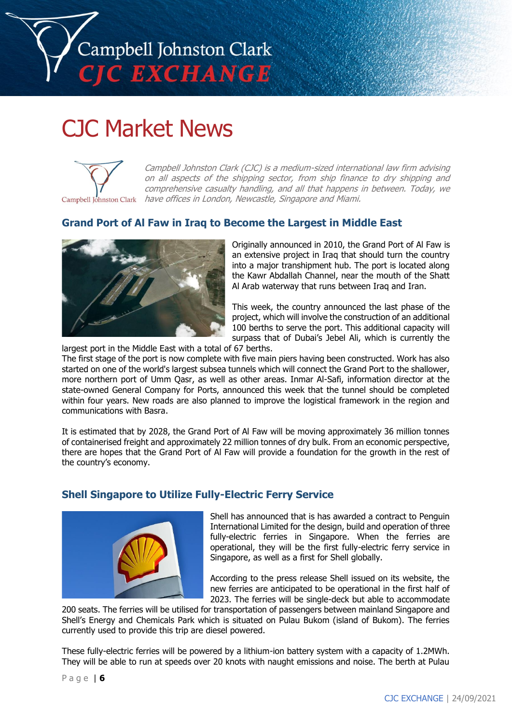

## CJC Market News



Campbell Johnston Clark (CJC) is a medium-sized international law firm advising on all aspects of the shipping sector, from ship finance to dry shipping and comprehensive casualty handling, and all that happens in between. Today, we have offices in London, Newcastle, Singapore and Miami.

### **Grand Port of Al Faw in Iraq to Become the Largest in Middle East**



Originally announced in 2010, the Grand Port of Al Faw is an extensive project in Iraq that should turn the country into a major transhipment hub. The port is located along the Kawr Abdallah Channel, near the mouth of the Shatt Al Arab waterway that runs between Iraq and Iran.

This week, the country announced the last phase of the project, which will involve the construction of an additional 100 berths to serve the port. This additional capacity will surpass that of Dubai's Jebel Ali, which is currently the

largest port in the Middle East with a total of 67 berths.

The first stage of the port is now complete with five main piers having been constructed. Work has also started on one of the world's largest subsea tunnels which will connect the Grand Port to the shallower, more northern port of Umm Qasr, as well as other areas. Inmar Al-Safi, information director at the state-owned General Company for Ports, announced this week that the tunnel should be completed within four years. New roads are also planned to improve the logistical framework in the region and communications with Basra.

It is estimated that by 2028, the Grand Port of Al Faw will be moving approximately 36 million tonnes of containerised freight and approximately 22 million tonnes of dry bulk. From an economic perspective, there are hopes that the Grand Port of Al Faw will provide a foundation for the growth in the rest of the country's economy.

### **Shell Singapore to Utilize Fully-Electric Ferry Service**



Shell has announced that is has awarded a contract to Penguin International Limited for the design, build and operation of three fully-electric ferries in Singapore. When the ferries are operational, they will be the first fully-electric ferry service in Singapore, as well as a first for Shell globally.

According to the press release Shell issued on its website, the new ferries are anticipated to be operational in the first half of 2023. The ferries will be single-deck but able to accommodate

200 seats. The ferries will be utilised for transportation of passengers between mainland Singapore and Shell's Energy and Chemicals Park which is situated on Pulau Bukom (island of Bukom). The ferries currently used to provide this trip are diesel powered.

These fully-electric ferries will be powered by a lithium-ion battery system with a capacity of 1.2MWh. They will be able to run at speeds over 20 knots with naught emissions and noise. The berth at Pulau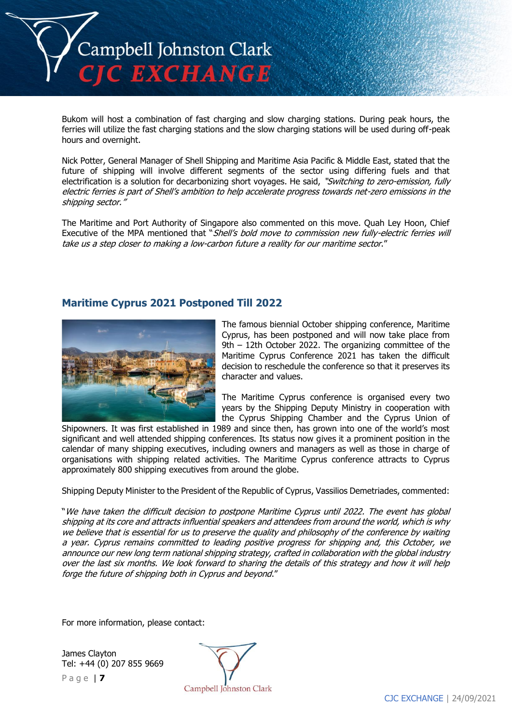

Bukom will host a combination of fast charging and slow charging stations. During peak hours, the ferries will utilize the fast charging stations and the slow charging stations will be used during off-peak hours and overnight.

Nick Potter, General Manager of Shell Shipping and Maritime Asia Pacific & Middle East, stated that the future of shipping will involve different segments of the sector using differing fuels and that electrification is a solution for decarbonizing short voyages. He said, "Switching to zero-emission, fully electric ferries is part of Shell's ambition to help accelerate progress towards net-zero emissions in the shipping sector."

The Maritime and Port Authority of Singapore also commented on this move. Quah Ley Hoon, Chief Executive of the MPA mentioned that "Shell's bold move to commission new fully-electric ferries will take us a step closer to making a low-carbon future a reality for our maritime sector."

### **Maritime Cyprus 2021 Postponed Till 2022**



The famous biennial October shipping conference, Maritime Cyprus, has been postponed and will now take place from 9th – 12th October 2022. The organizing committee of the Maritime Cyprus Conference 2021 has taken the difficult decision to reschedule the conference so that it preserves its character and values.

The Maritime Cyprus conference is organised every two years by the Shipping Deputy Ministry in cooperation with the Cyprus Shipping Chamber and the Cyprus Union of

Shipowners. It was first established in 1989 and since then, has grown into one of the world's most significant and well attended shipping conferences. Its status now gives it a prominent position in the calendar of many shipping executives, including owners and managers as well as those in charge of organisations with shipping related activities. The Maritime Cyprus conference attracts to Cyprus approximately 800 shipping executives from around the globe.

Shipping Deputy Minister to the President of the Republic of Cyprus, Vassilios Demetriades, commented:

"We have taken the difficult decision to postpone Maritime Cyprus until 2022. The event has global shipping at its core and attracts influential speakers and attendees from around the world, which is why we believe that is essential for us to preserve the quality and philosophy of the conference by waiting a year. Cyprus remains committed to leading positive progress for shipping and, this October, we announce our new long term national shipping strategy, crafted in collaboration with the global industry over the last six months. We look forward to sharing the details of this strategy and how it will help forge the future of shipping both in Cyprus and beyond."

For more information, please contact:

P a g e | **7** James Clayton Tel: +44 (0) 207 855 9669